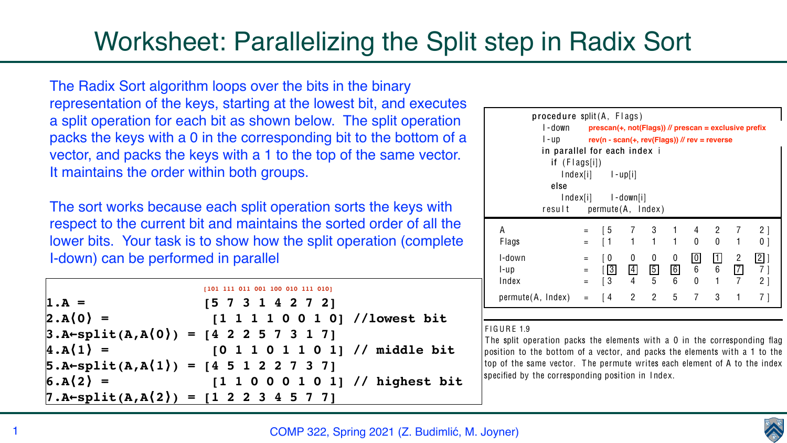

# Worksheet: Parallelizing the Split step in Radix Sort

The Radix Sort algorithm loops over the bits in the binary representation of the keys, starting at the lowest bit, and executes a split operation for each bit as shown below. The split operation packs the keys with a 0 in the corresponding bit to the bottom of a vector, and packs the keys with a 1 to the top of the same vector. It maintains the order within both groups.

The sort works because each split operation sorts the keys with respect to the current bit and maintains the sorted order of all the lower bits. Your task is to show how the split operation (complete I-down) can be performed in parallel

```
 [101 111 011 001 100 010 111 010]
1.A = [5 7 3 1 4 2 7 2]
|2.A(0) = [1 1 1 0 0 1 0] //lowest bit
3.A←split(A,A⟨0⟩) = [4 2 2 5 7 3 1 7]
4.A⟨1⟩ = [0 1 1 0 1 1 0 1] // middle bit 
5.A←split(A,A⟨1⟩) = [4 5 1 2 2 7 3 7]
6.A⟨2⟩ = [1 1 0 0 0 1 0 1] // highest bit 
7.A←split(A,A⟨2⟩) = [1 2 2 3 4 5 7 7]
```




| ve prefix                                                  |  |
|------------------------------------------------------------|--|
|                                                            |  |
|                                                            |  |
| $\overline{2}$<br>$\begin{array}{c} \end{array}$<br>1<br>Π |  |

| in parallel for each index i<br>if $(Flags[i])$<br>else |          | $Index[i]$ $I-up[i]$<br>$Index[i]$ $I-down[i]$ |                |                |                |                         |                                           |                |                 |
|---------------------------------------------------------|----------|------------------------------------------------|----------------|----------------|----------------|-------------------------|-------------------------------------------|----------------|-----------------|
| result permute(A, Index)                                |          |                                                |                |                |                |                         |                                           |                |                 |
| A                                                       | $\equiv$ | $\begin{bmatrix} 5 \end{bmatrix}$              | $\overline{7}$ | 3 <sup>7</sup> | $\overline{1}$ |                         | $\begin{array}{cc} 4 & 2 & 7 \end{array}$ |                | 2 <sup>1</sup>  |
| <b>Flags</b>                                            | $=$      |                                                | $1 -$          | $\overline{1}$ | $\mathbf 1$    | $\overline{0}$          | $\overline{0}$                            | 1              | 0 <sup>1</sup>  |
| I-down                                                  | $\equiv$ | [ O                                            | $\overline{0}$ | $\overline{0}$ | $\overline{0}$ | $\overline{\mathbf{0}}$ |                                           | $\overline{2}$ | 2               |
| $l$ -up                                                 | $\equiv$ | 3                                              | 4              | $\boxed{5}$    | $\boxed{6}$    | $6\phantom{1}$          | 6                                         |                | 7 <sup>1</sup>  |
| Index                                                   | $=$      | $\overline{3}$                                 | $\overline{4}$ | 5              | 6              | $\Omega$                |                                           | $\overline{7}$ | $2\overline{ }$ |
| $permute(A, Index) = [4 2 5 7 3 1 7]$                   |          |                                                |                |                |                |                         |                                           |                |                 |
|                                                         |          |                                                |                |                |                |                         |                                           |                |                 |

specified by the corresponding position in I ndex.

algorithm runs in time: we can algorithm runs in time:  $\alpha$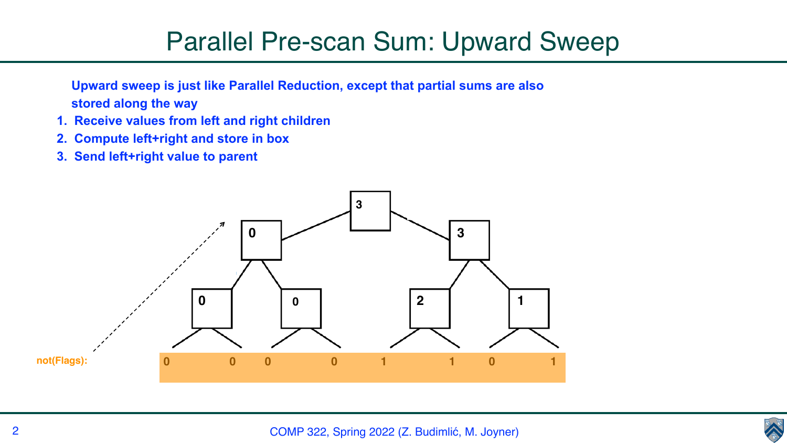

## Parallel Pre-scan Sum: Upward Sweep

**Upward sweep is just like Parallel Reduction, except that partial sums are also stored along the way**

- **1. Receive values from left and right children**
- **2. Compute left+right and store in box**
- **3. Send left+right value to parent**

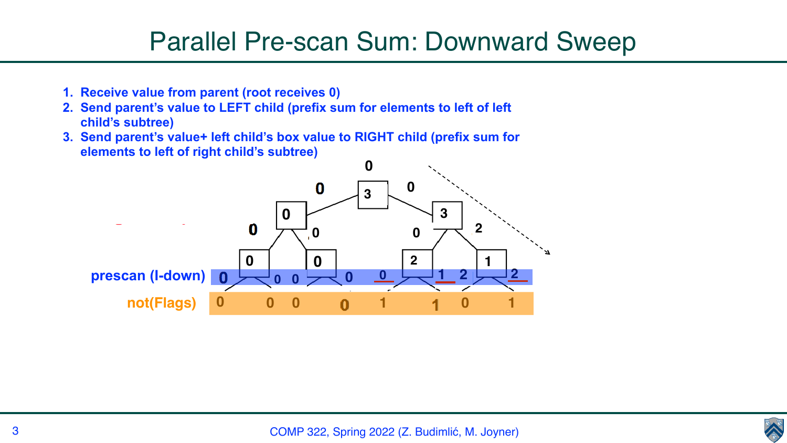

## Parallel Pre-scan Sum: Downward Sweep

- **1. Receive value from parent (root receives 0)**
- **2. Send parent's value to LEFT child (prefix sum for elements to left of left child's subtree)**
- **3. Send parent's value+ left child's box value to RIGHT child (prefix sum for elements to left of right child's subtree)**

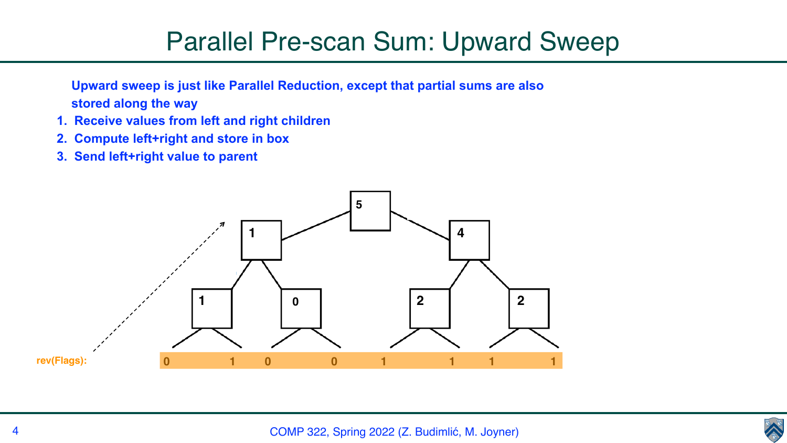

## Parallel Pre-scan Sum: Upward Sweep

**Upward sweep is just like Parallel Reduction, except that partial sums are also stored along the way**

- **1. Receive values from left and right children**
- **2. Compute left+right and store in box**
- **3. Send left+right value to parent**